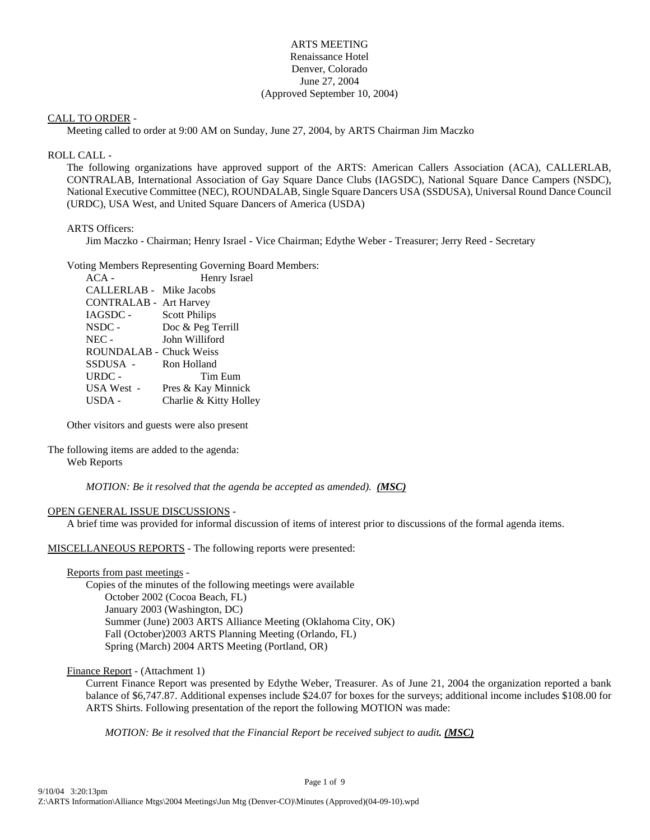#### ARTS MEETING Renaissance Hotel Denver, Colorado June 27, 2004 (Approved September 10, 2004)

#### CALL TO ORDER -

Meeting called to order at 9:00 AM on Sunday, June 27, 2004, by ARTS Chairman Jim Maczko

#### ROLL CALL -

The following organizations have approved support of the ARTS: American Callers Association (ACA), CALLERLAB, CONTRALAB, International Association of Gay Square Dance Clubs (IAGSDC), National Square Dance Campers (NSDC), National Executive Committee (NEC), ROUNDALAB, Single Square Dancers USA (SSDUSA), Universal Round Dance Council (URDC), USA West, and United Square Dancers of America (USDA)

#### ARTS Officers:

Jim Maczko - Chairman; Henry Israel - Vice Chairman; Edythe Weber - Treasurer; Jerry Reed - Secretary

#### Voting Members Representing Governing Board Members:

| $ACA -$                       | Henry Israel           |
|-------------------------------|------------------------|
| CALLERLAB - Mike Jacobs       |                        |
| <b>CONTRALAB - Art Harvey</b> |                        |
| <b>IAGSDC -</b>               | <b>Scott Philips</b>   |
| NSDC -                        | Doc & Peg Terrill      |
| $NEC -$                       | John Williford         |
| ROUNDALAB - Chuck Weiss       |                        |
| SSDUSA -                      | Ron Holland            |
| URDC -                        | Tim Eum                |
| USA West -                    | Pres & Kay Minnick     |
| USDA -                        | Charlie & Kitty Holley |
|                               |                        |

Other visitors and guests were also present

#### The following items are added to the agenda: Web Reports

*MOTION: Be it resolved that the agenda be accepted as amended). (MSC)*

#### OPEN GENERAL ISSUE DISCUSSIONS -

A brief time was provided for informal discussion of items of interest prior to discussions of the formal agenda items.

#### MISCELLANEOUS REPORTS - The following reports were presented:

Reports from past meetings -

Copies of the minutes of the following meetings were available October 2002 (Cocoa Beach, FL) January 2003 (Washington, DC) Summer (June) 2003 ARTS Alliance Meeting (Oklahoma City, OK) Fall (October)2003 ARTS Planning Meeting (Orlando, FL) Spring (March) 2004 ARTS Meeting (Portland, OR)

#### Finance Report - (Attachment 1)

Current Finance Report was presented by Edythe Weber, Treasurer. As of June 21, 2004 the organization reported a bank balance of \$6,747.87. Additional expenses include \$24.07 for boxes for the surveys; additional income includes \$108.00 for ARTS Shirts. Following presentation of the report the following MOTION was made:

*MOTION: Be it resolved that the Financial Report be received subject to audit. (MSC)*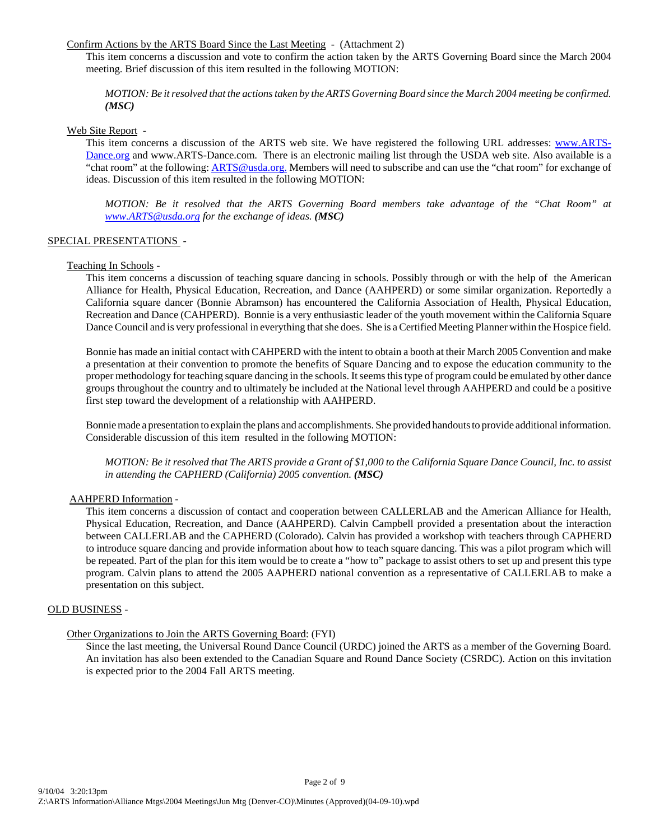#### Confirm Actions by the ARTS Board Since the Last Meeting - (Attachment 2)

This item concerns a discussion and vote to confirm the action taken by the ARTS Governing Board since the March 2004 meeting. Brief discussion of this item resulted in the following MOTION:

*MOTION: Be it resolved that the actions taken by the ARTS Governing Board since the March 2004 meeting be confirmed. (MSC)*

Web Site Report -

This item concerns a discussion of the ARTS web site. We have registered the following URL addresses: www.ARTS-Dance.org and www.ARTS-Dance.com. There is an electronic mailing list through the USDA web site. Also available is a "chat room" at the following: ARTS@usda.org. Members will need to subscribe and can use the "chat room" for exchange of ideas. Discussion of this item resulted in the following MOTION:

*MOTION: Be it resolved that the ARTS Governing Board members take advantage of the "Chat Room" at www.ARTS@usda.org for the exchange of ideas. (MSC)*

#### SPECIAL PRESENTATIONS -

#### Teaching In Schools -

This item concerns a discussion of teaching square dancing in schools. Possibly through or with the help of the American Alliance for Health, Physical Education, Recreation, and Dance (AAHPERD) or some similar organization. Reportedly a California square dancer (Bonnie Abramson) has encountered the California Association of Health, Physical Education, Recreation and Dance (CAHPERD). Bonnie is a very enthusiastic leader of the youth movement within the California Square Dance Council and is very professional in everything that she does. She is a Certified Meeting Planner within the Hospice field.

Bonnie has made an initial contact with CAHPERD with the intent to obtain a booth at their March 2005 Convention and make a presentation at their convention to promote the benefits of Square Dancing and to expose the education community to the proper methodology for teaching square dancing in the schools. It seems this type of program could be emulated by other dance groups throughout the country and to ultimately be included at the National level through AAHPERD and could be a positive first step toward the development of a relationship with AAHPERD.

Bonnie made a presentation to explain the plans and accomplishments. She provided handouts to provide additional information. Considerable discussion of this item resulted in the following MOTION:

*MOTION: Be it resolved that The ARTS provide a Grant of \$1,000 to the California Square Dance Council, Inc. to assist in attending the CAPHERD (California) 2005 convention. (MSC)* 

#### AAHPERD Information -

This item concerns a discussion of contact and cooperation between CALLERLAB and the American Alliance for Health, Physical Education, Recreation, and Dance (AAHPERD). Calvin Campbell provided a presentation about the interaction between CALLERLAB and the CAPHERD (Colorado). Calvin has provided a workshop with teachers through CAPHERD to introduce square dancing and provide information about how to teach square dancing. This was a pilot program which will be repeated. Part of the plan for this item would be to create a "how to" package to assist others to set up and present this type program. Calvin plans to attend the 2005 AAPHERD national convention as a representative of CALLERLAB to make a presentation on this subject.

#### OLD BUSINESS -

#### Other Organizations to Join the ARTS Governing Board: (FYI)

Since the last meeting, the Universal Round Dance Council (URDC) joined the ARTS as a member of the Governing Board. An invitation has also been extended to the Canadian Square and Round Dance Society (CSRDC). Action on this invitation is expected prior to the 2004 Fall ARTS meeting.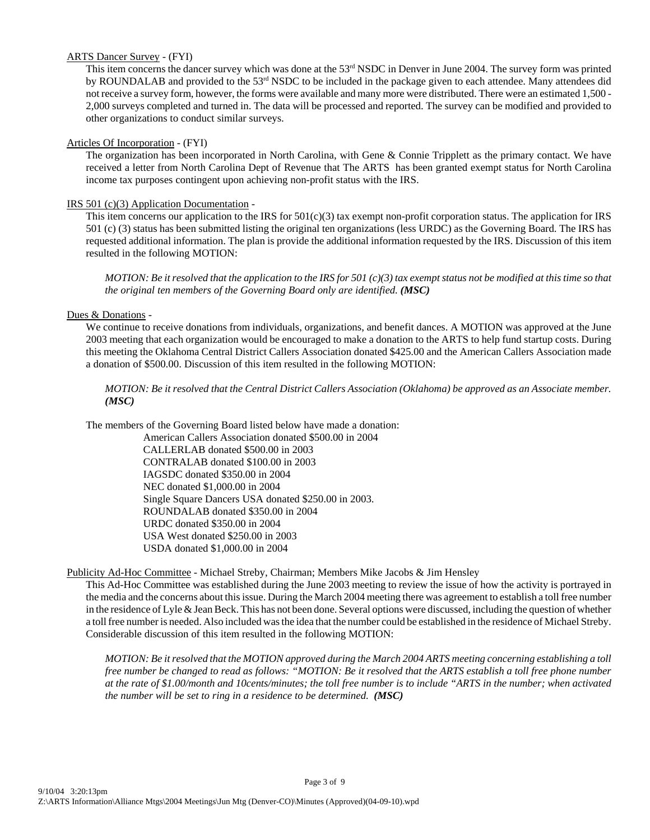#### ARTS Dancer Survey - (FYI)

This item concerns the dancer survey which was done at the 53<sup>rd</sup> NSDC in Denver in June 2004. The survey form was printed by ROUNDALAB and provided to the 53rd NSDC to be included in the package given to each attendee. Many attendees did not receive a survey form, however, the forms were available and many more were distributed. There were an estimated 1,500 - 2,000 surveys completed and turned in. The data will be processed and reported. The survey can be modified and provided to other organizations to conduct similar surveys.

#### Articles Of Incorporation - (FYI)

The organization has been incorporated in North Carolina, with Gene & Connie Tripplett as the primary contact. We have received a letter from North Carolina Dept of Revenue that The ARTS has been granted exempt status for North Carolina income tax purposes contingent upon achieving non-profit status with the IRS.

#### IRS 501 (c)(3) Application Documentation -

This item concerns our application to the IRS for  $501(c)(3)$  tax exempt non-profit corporation status. The application for IRS 501 (c) (3) status has been submitted listing the original ten organizations (less URDC) as the Governing Board. The IRS has requested additional information. The plan is provide the additional information requested by the IRS. Discussion of this item resulted in the following MOTION:

*MOTION: Be it resolved that the application to the IRS for 501 (c)(3) tax exempt status not be modified at this time so that the original ten members of the Governing Board only are identified. (MSC)*

#### Dues & Donations -

We continue to receive donations from individuals, organizations, and benefit dances. A MOTION was approved at the June 2003 meeting that each organization would be encouraged to make a donation to the ARTS to help fund startup costs. During this meeting the Oklahoma Central District Callers Association donated \$425.00 and the American Callers Association made a donation of \$500.00. Discussion of this item resulted in the following MOTION:

*MOTION: Be it resolved that the Central District Callers Association (Oklahoma) be approved as an Associate member. (MSC)*

The members of the Governing Board listed below have made a donation:

American Callers Association donated \$500.00 in 2004 CALLERLAB donated \$500.00 in 2003 CONTRALAB donated \$100.00 in 2003 IAGSDC donated \$350.00 in 2004 NEC donated \$1,000.00 in 2004 Single Square Dancers USA donated \$250.00 in 2003. ROUNDALAB donated \$350.00 in 2004 URDC donated \$350.00 in 2004 USA West donated \$250.00 in 2003 USDA donated \$1,000.00 in 2004

Publicity Ad-Hoc Committee - Michael Streby, Chairman; Members Mike Jacobs & Jim Hensley

This Ad-Hoc Committee was established during the June 2003 meeting to review the issue of how the activity is portrayed in the media and the concerns about this issue. During the March 2004 meeting there was agreement to establish a toll free number in the residence of Lyle & Jean Beck. This has not been done. Several options were discussed, including the question of whether a toll free number is needed. Also included was the idea that the number could be established in the residence of Michael Streby. Considerable discussion of this item resulted in the following MOTION:

*MOTION: Be it resolved that the MOTION approved during the March 2004 ARTS meeting concerning establishing a toll free number be changed to read as follows: "MOTION: Be it resolved that the ARTS establish a toll free phone number at the rate of \$1.00/month and 10cents/minutes; the toll free number is to include "ARTS in the number; when activated the number will be set to ring in a residence to be determined. (MSC)*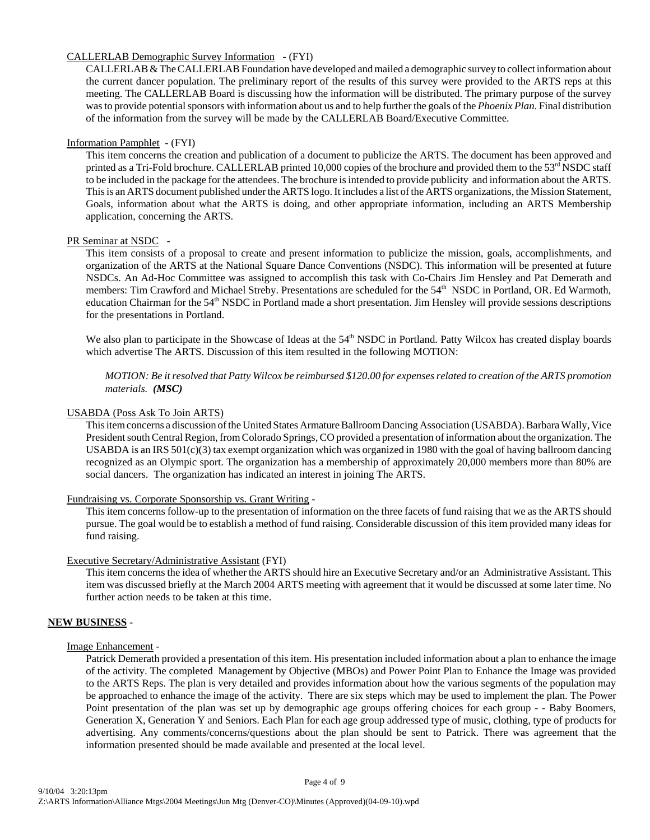#### CALLERLAB Demographic Survey Information - (FYI)

CALLERLAB & The CALLERLAB Foundation have developed and mailed a demographic survey to collect information about the current dancer population. The preliminary report of the results of this survey were provided to the ARTS reps at this meeting. The CALLERLAB Board is discussing how the information will be distributed. The primary purpose of the survey was to provide potential sponsors with information about us and to help further the goals of the *Phoenix Plan*. Final distribution of the information from the survey will be made by the CALLERLAB Board/Executive Committee.

#### Information Pamphlet - (FYI)

This item concerns the creation and publication of a document to publicize the ARTS. The document has been approved and printed as a Tri-Fold brochure. CALLERLAB printed 10,000 copies of the brochure and provided them to the  $53<sup>rd</sup>$  NSDC staff to be included in the package for the attendees. The brochure is intended to provide publicity and information about the ARTS. This is an ARTS document published under the ARTS logo. It includes a list of the ARTS organizations, the Mission Statement, Goals, information about what the ARTS is doing, and other appropriate information, including an ARTS Membership application, concerning the ARTS.

#### PR Seminar at NSDC -

This item consists of a proposal to create and present information to publicize the mission, goals, accomplishments, and organization of the ARTS at the National Square Dance Conventions (NSDC). This information will be presented at future NSDCs. An Ad-Hoc Committee was assigned to accomplish this task with Co-Chairs Jim Hensley and Pat Demerath and members: Tim Crawford and Michael Streby. Presentations are scheduled for the 54<sup>th</sup> NSDC in Portland, OR. Ed Warmoth, education Chairman for the 54th NSDC in Portland made a short presentation. Jim Hensley will provide sessions descriptions for the presentations in Portland.

We also plan to participate in the Showcase of Ideas at the 54<sup>th</sup> NSDC in Portland. Patty Wilcox has created display boards which advertise The ARTS. Discussion of this item resulted in the following MOTION:

*MOTION: Be it resolved that Patty Wilcox be reimbursed \$120.00 for expenses related to creation of the ARTS promotion materials. (MSC)*

#### USABDA (Poss Ask To Join ARTS)

This item concerns a discussion of the United States Armature Ballroom Dancing Association (USABDA). Barbara Wally, Vice President south Central Region, from Colorado Springs, CO provided a presentation of information about the organization. The USABDA is an IRS  $501(c)(3)$  tax exempt organization which was organized in 1980 with the goal of having ballroom dancing recognized as an Olympic sport. The organization has a membership of approximately 20,000 members more than 80% are social dancers. The organization has indicated an interest in joining The ARTS.

#### Fundraising vs. Corporate Sponsorship vs. Grant Writing -

This item concerns follow-up to the presentation of information on the three facets of fund raising that we as the ARTS should pursue. The goal would be to establish a method of fund raising. Considerable discussion of this item provided many ideas for fund raising.

#### Executive Secretary/Administrative Assistant (FYI)

This item concerns the idea of whether the ARTS should hire an Executive Secretary and/or an Administrative Assistant. This item was discussed briefly at the March 2004 ARTS meeting with agreement that it would be discussed at some later time. No further action needs to be taken at this time.

#### **NEW BUSINESS -**

#### Image Enhancement -

Patrick Demerath provided a presentation of this item. His presentation included information about a plan to enhance the image of the activity. The completed Management by Objective (MBOs) and Power Point Plan to Enhance the Image was provided to the ARTS Reps. The plan is very detailed and provides information about how the various segments of the population may be approached to enhance the image of the activity. There are six steps which may be used to implement the plan. The Power Point presentation of the plan was set up by demographic age groups offering choices for each group - - Baby Boomers, Generation X, Generation Y and Seniors. Each Plan for each age group addressed type of music, clothing, type of products for advertising. Any comments/concerns/questions about the plan should be sent to Patrick. There was agreement that the information presented should be made available and presented at the local level.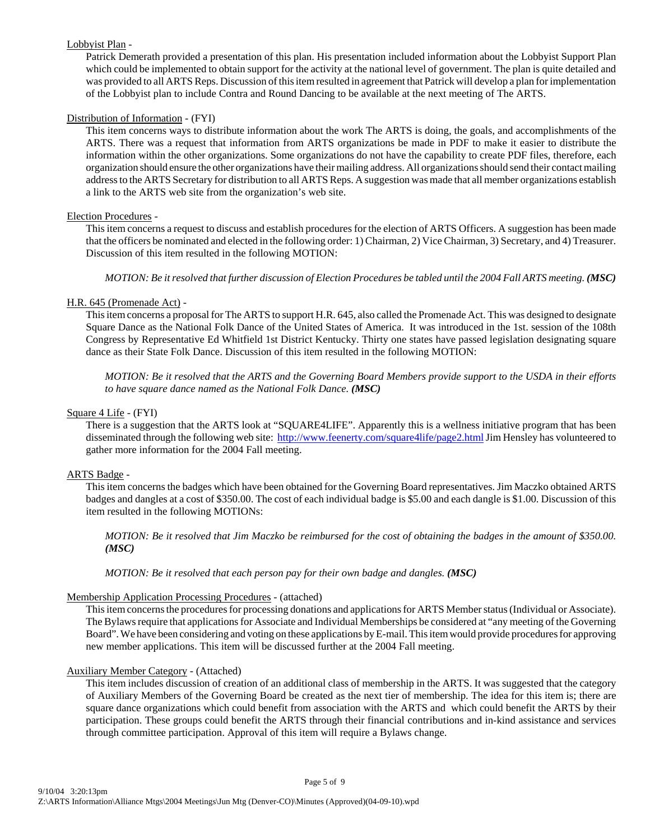#### Lobbyist Plan -

Patrick Demerath provided a presentation of this plan. His presentation included information about the Lobbyist Support Plan which could be implemented to obtain support for the activity at the national level of government. The plan is quite detailed and was provided to all ARTS Reps. Discussion of this item resulted in agreement that Patrick will develop a plan for implementation of the Lobbyist plan to include Contra and Round Dancing to be available at the next meeting of The ARTS.

#### Distribution of Information - (FYI)

This item concerns ways to distribute information about the work The ARTS is doing, the goals, and accomplishments of the ARTS. There was a request that information from ARTS organizations be made in PDF to make it easier to distribute the information within the other organizations. Some organizations do not have the capability to create PDF files, therefore, each organization should ensure the other organizations have their mailing address. All organizations should send their contact mailing address to the ARTS Secretary for distribution to all ARTS Reps. A suggestion was made that all member organizations establish a link to the ARTS web site from the organization's web site.

#### Election Procedures -

This item concerns a request to discuss and establish procedures for the election of ARTS Officers. A suggestion has been made that the officers be nominated and elected in the following order: 1) Chairman, 2) Vice Chairman, 3) Secretary, and 4) Treasurer. Discussion of this item resulted in the following MOTION:

*MOTION: Be it resolved that further discussion of Election Procedures be tabled until the 2004 Fall ARTS meeting. (MSC)* 

#### H.R. 645 (Promenade Act) -

This item concerns a proposal for The ARTS to support H.R. 645, also called the Promenade Act. This was designed to designate Square Dance as the National Folk Dance of the United States of America. It was introduced in the 1st. session of the 108th Congress by Representative Ed Whitfield 1st District Kentucky. Thirty one states have passed legislation designating square dance as their State Folk Dance. Discussion of this item resulted in the following MOTION:

*MOTION: Be it resolved that the ARTS and the Governing Board Members provide support to the USDA in their efforts to have square dance named as the National Folk Dance. (MSC)*

#### Square 4 Life - (FYI)

There is a suggestion that the ARTS look at "SQUARE4LIFE". Apparently this is a wellness initiative program that has been disseminated through the following web site: http://www.feenerty.com/square4life/page2.html Jim Hensley has volunteered to gather more information for the 2004 Fall meeting.

#### ARTS Badge -

This item concerns the badges which have been obtained for the Governing Board representatives. Jim Maczko obtained ARTS badges and dangles at a cost of \$350.00. The cost of each individual badge is \$5.00 and each dangle is \$1.00. Discussion of this item resulted in the following MOTIONs:

*MOTION: Be it resolved that Jim Maczko be reimbursed for the cost of obtaining the badges in the amount of \$350.00. (MSC)*

*MOTION: Be it resolved that each person pay for their own badge and dangles. (MSC)*

#### Membership Application Processing Procedures - (attached)

This item concerns the procedures for processing donations and applications for ARTS Member status (Individual or Associate). The Bylaws require that applications for Associate and Individual Memberships be considered at "any meeting of the Governing Board". We have been considering and voting on these applications by E-mail. This item would provide procedures for approving new member applications. This item will be discussed further at the 2004 Fall meeting.

#### Auxiliary Member Category - (Attached)

This item includes discussion of creation of an additional class of membership in the ARTS. It was suggested that the category of Auxiliary Members of the Governing Board be created as the next tier of membership. The idea for this item is; there are square dance organizations which could benefit from association with the ARTS and which could benefit the ARTS by their participation. These groups could benefit the ARTS through their financial contributions and in-kind assistance and services through committee participation. Approval of this item will require a Bylaws change.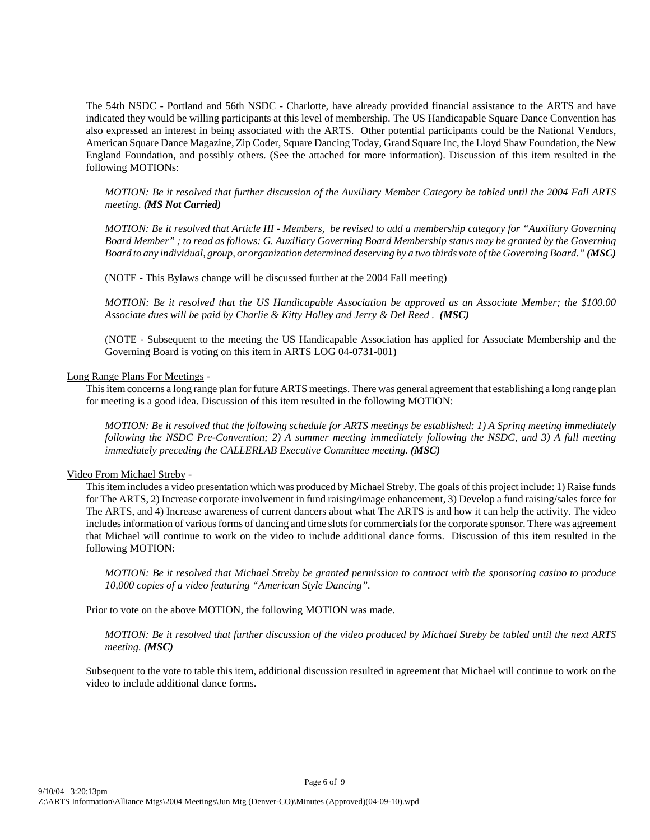The 54th NSDC - Portland and 56th NSDC - Charlotte, have already provided financial assistance to the ARTS and have indicated they would be willing participants at this level of membership. The US Handicapable Square Dance Convention has also expressed an interest in being associated with the ARTS. Other potential participants could be the National Vendors, American Square Dance Magazine, Zip Coder, Square Dancing Today, Grand Square Inc, the Lloyd Shaw Foundation, the New England Foundation, and possibly others. (See the attached for more information). Discussion of this item resulted in the following MOTIONs:

*MOTION: Be it resolved that further discussion of the Auxiliary Member Category be tabled until the 2004 Fall ARTS meeting. (MS Not Carried)*

*MOTION: Be it resolved that Article III - Members, be revised to add a membership category for "Auxiliary Governing Board Member" ; to read as follows: G. Auxiliary Governing Board Membership status may be granted by the Governing Board to any individual, group, or organization determined deserving by a two thirds vote of the Governing Board." (MSC)*

(NOTE - This Bylaws change will be discussed further at the 2004 Fall meeting)

*MOTION: Be it resolved that the US Handicapable Association be approved as an Associate Member; the \$100.00* Associate dues will be paid by Charlie & Kitty Holley and Jerry & Del Reed. (MSC)

(NOTE - Subsequent to the meeting the US Handicapable Association has applied for Associate Membership and the Governing Board is voting on this item in ARTS LOG 04-0731-001)

#### Long Range Plans For Meetings -

This item concerns a long range plan for future ARTS meetings. There was general agreement that establishing a long range plan for meeting is a good idea. Discussion of this item resulted in the following MOTION:

*MOTION: Be it resolved that the following schedule for ARTS meetings be established: 1) A Spring meeting immediately following the NSDC Pre-Convention; 2) A summer meeting immediately following the NSDC, and 3) A fall meeting immediately preceding the CALLERLAB Executive Committee meeting. (MSC)*

#### Video From Michael Streby -

This item includes a video presentation which was produced by Michael Streby. The goals of this project include: 1) Raise funds for The ARTS, 2) Increase corporate involvement in fund raising/image enhancement, 3) Develop a fund raising/sales force for The ARTS, and 4) Increase awareness of current dancers about what The ARTS is and how it can help the activity. The video includes information of various forms of dancing and time slots for commercials for the corporate sponsor. There was agreement that Michael will continue to work on the video to include additional dance forms. Discussion of this item resulted in the following MOTION:

*MOTION: Be it resolved that Michael Streby be granted permission to contract with the sponsoring casino to produce 10,000 copies of a video featuring "American Style Dancing".* 

Prior to vote on the above MOTION, the following MOTION was made.

*MOTION: Be it resolved that further discussion of the video produced by Michael Streby be tabled until the next ARTS meeting. (MSC)*

Subsequent to the vote to table this item, additional discussion resulted in agreement that Michael will continue to work on the video to include additional dance forms.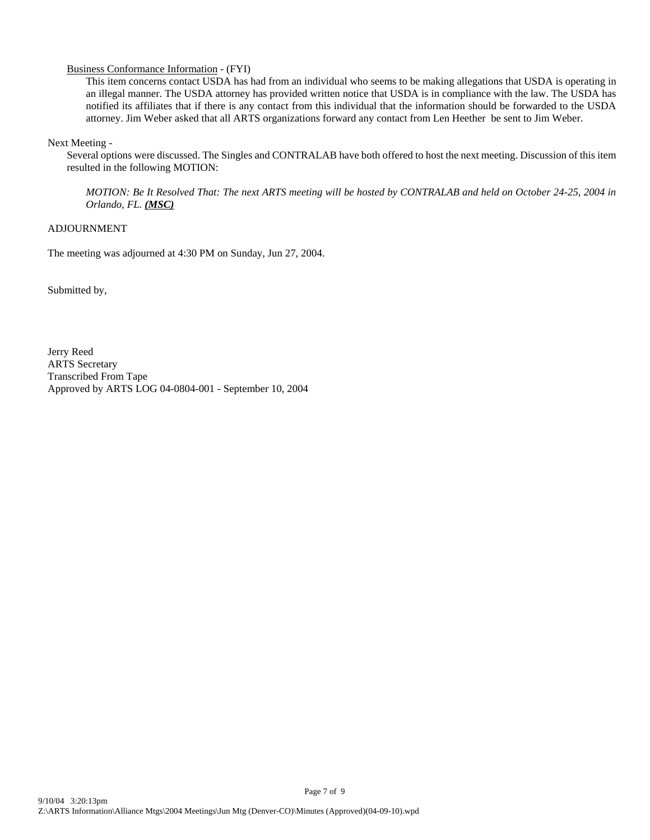#### Business Conformance Information - (FYI)

This item concerns contact USDA has had from an individual who seems to be making allegations that USDA is operating in an illegal manner. The USDA attorney has provided written notice that USDA is in compliance with the law. The USDA has notified its affiliates that if there is any contact from this individual that the information should be forwarded to the USDA attorney. Jim Weber asked that all ARTS organizations forward any contact from Len Heether be sent to Jim Weber.

Next Meeting -

Several options were discussed. The Singles and CONTRALAB have both offered to host the next meeting. Discussion of this item resulted in the following MOTION:

*MOTION: Be It Resolved That: The next ARTS meeting will be hosted by CONTRALAB and held on October 24-25, 2004 in Orlando, FL. (MSC)*

#### ADJOURNMENT

The meeting was adjourned at 4:30 PM on Sunday, Jun 27, 2004.

Submitted by,

Jerry Reed ARTS Secretary Transcribed From Tape Approved by ARTS LOG 04-0804-001 - September 10, 2004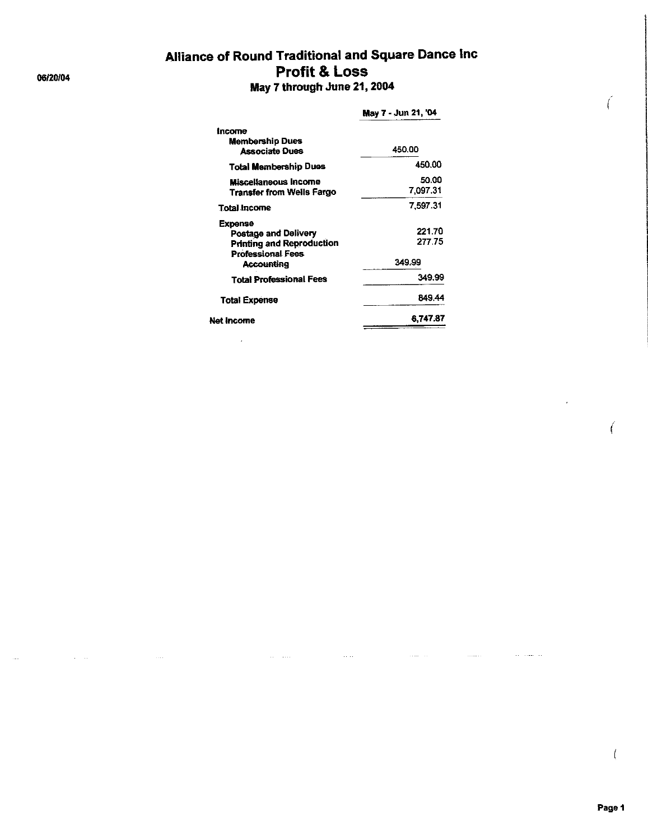# Alliance of Round Traditional and Square Dance Inc **Profit & Loss** May 7 through June 21, 2004

#### May 7 - Jun 21, '04 Income **Membership Dues** 450.00 **Associate Dues** 450.00 **Total Membership Dues** 50.00 **Miscellaneous Income Transfer from Wells Fargo** 7,097.31 7,597.31 **Total Income Expense** 221.70 Postage and Delivery 277.75 Printing and Reproduction Professional Fees 349.99 **Accounting** 349.99 **Total Professional Fees** 849.44 **Total Expense** 6,747.87 **Net Income**

 $\overline{a}$ 

#### 06/20/04

Í

 $\bigg($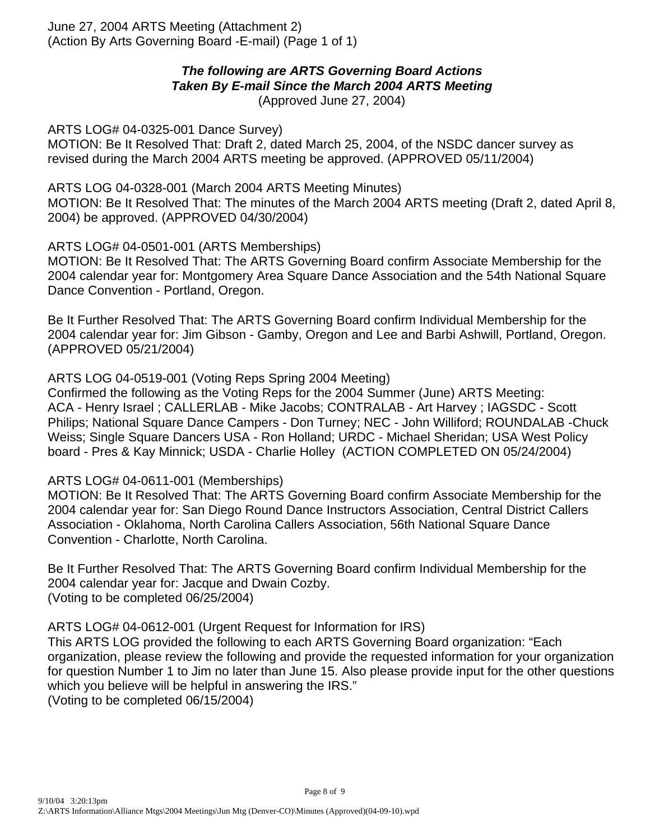June 27, 2004 ARTS Meeting (Attachment 2) (Action By Arts Governing Board -E-mail) (Page 1 of 1)

### *The following are ARTS Governing Board Actions Taken By E-mail Since the March 2004 ARTS Meeting* (Approved June 27, 2004)

ARTS LOG# 04-0325-001 Dance Survey)

MOTION: Be It Resolved That: Draft 2, dated March 25, 2004, of the NSDC dancer survey as revised during the March 2004 ARTS meeting be approved. (APPROVED 05/11/2004)

ARTS LOG 04-0328-001 (March 2004 ARTS Meeting Minutes) MOTION: Be It Resolved That: The minutes of the March 2004 ARTS meeting (Draft 2, dated April 8, 2004) be approved. (APPROVED 04/30/2004)

ARTS LOG# 04-0501-001 (ARTS Memberships)

MOTION: Be It Resolved That: The ARTS Governing Board confirm Associate Membership for the 2004 calendar year for: Montgomery Area Square Dance Association and the 54th National Square Dance Convention - Portland, Oregon.

Be It Further Resolved That: The ARTS Governing Board confirm Individual Membership for the 2004 calendar year for: Jim Gibson - Gamby, Oregon and Lee and Barbi Ashwill, Portland, Oregon. (APPROVED 05/21/2004)

ARTS LOG 04-0519-001 (Voting Reps Spring 2004 Meeting)

Confirmed the following as the Voting Reps for the 2004 Summer (June) ARTS Meeting: ACA - Henry Israel ; CALLERLAB - Mike Jacobs; CONTRALAB - Art Harvey ; IAGSDC - Scott Philips; National Square Dance Campers - Don Turney; NEC - John Williford; ROUNDALAB -Chuck Weiss; Single Square Dancers USA - Ron Holland; URDC - Michael Sheridan; USA West Policy board - Pres & Kay Minnick; USDA - Charlie Holley (ACTION COMPLETED ON 05/24/2004)

ARTS LOG# 04-0611-001 (Memberships)

MOTION: Be It Resolved That: The ARTS Governing Board confirm Associate Membership for the 2004 calendar year for: San Diego Round Dance Instructors Association, Central District Callers Association - Oklahoma, North Carolina Callers Association, 56th National Square Dance Convention - Charlotte, North Carolina.

Be It Further Resolved That: The ARTS Governing Board confirm Individual Membership for the 2004 calendar year for: Jacque and Dwain Cozby. (Voting to be completed 06/25/2004)

ARTS LOG# 04-0612-001 (Urgent Request for Information for IRS) This ARTS LOG provided the following to each ARTS Governing Board organization: "Each organization, please review the following and provide the requested information for your organization for question Number 1 to Jim no later than June 15. Also please provide input for the other questions which you believe will be helpful in answering the IRS." (Voting to be completed 06/15/2004)

Page 8 of 9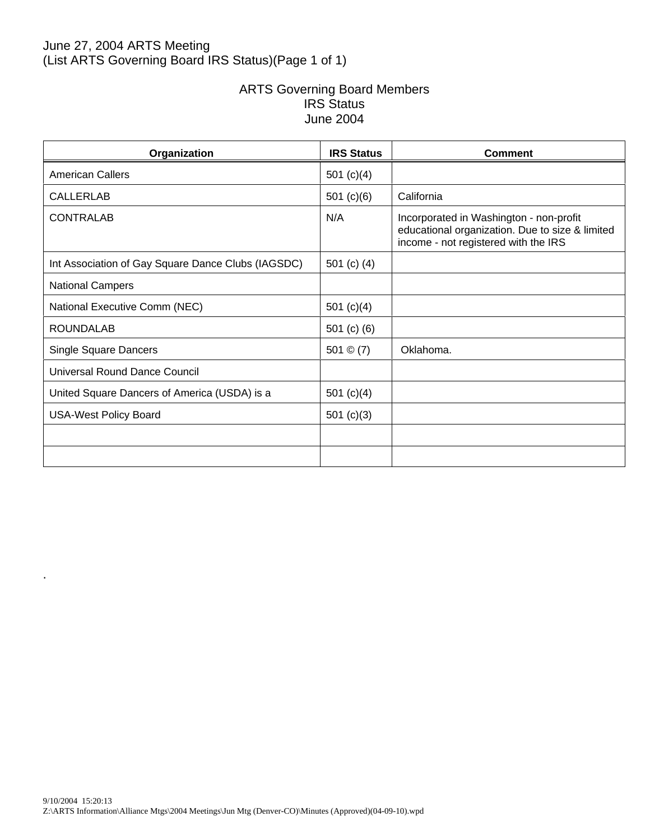## June 27, 2004 ARTS Meeting (List ARTS Governing Board IRS Status)(Page 1 of 1)

## ARTS Governing Board Members IRS Status June 2004

| Organization                                       | <b>IRS Status</b> | Comment                                                                                                                            |
|----------------------------------------------------|-------------------|------------------------------------------------------------------------------------------------------------------------------------|
| <b>American Callers</b>                            | 501 $(c)(4)$      |                                                                                                                                    |
| <b>CALLERLAB</b>                                   | 501 $(c)(6)$      | California                                                                                                                         |
| <b>CONTRALAB</b>                                   | N/A               | Incorporated in Washington - non-profit<br>educational organization. Due to size & limited<br>income - not registered with the IRS |
| Int Association of Gay Square Dance Clubs (IAGSDC) | 501 $(c)$ $(4)$   |                                                                                                                                    |
| National Campers                                   |                   |                                                                                                                                    |
| National Executive Comm (NEC)                      | 501 $(c)(4)$      |                                                                                                                                    |
| <b>ROUNDALAB</b>                                   | 501 $(c)$ $(6)$   |                                                                                                                                    |
| Single Square Dancers                              | 501 $\circ$ (7)   | Oklahoma.                                                                                                                          |
| Universal Round Dance Council                      |                   |                                                                                                                                    |
| United Square Dancers of America (USDA) is a       | 501 $(c)(4)$      |                                                                                                                                    |
| <b>USA-West Policy Board</b>                       | 501 $(c)(3)$      |                                                                                                                                    |
|                                                    |                   |                                                                                                                                    |
|                                                    |                   |                                                                                                                                    |

.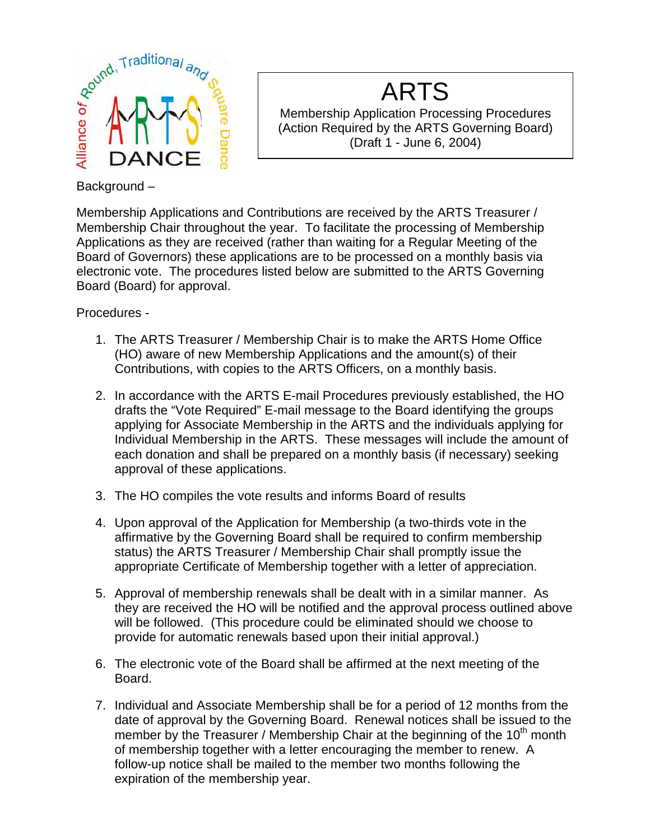

# ARTS

Membership Application Processing Procedures (Action Required by the ARTS Governing Board) (Draft 1 - June 6, 2004)

Membership Applications and Contributions are received by the ARTS Treasurer / Membership Chair throughout the year. To facilitate the processing of Membership Applications as they are received (rather than waiting for a Regular Meeting of the Board of Governors) these applications are to be processed on a monthly basis via electronic vote. The procedures listed below are submitted to the ARTS Governing Board (Board) for approval.

Procedures -

- 1. The ARTS Treasurer / Membership Chair is to make the ARTS Home Office (HO) aware of new Membership Applications and the amount(s) of their Contributions, with copies to the ARTS Officers, on a monthly basis.
- 2. In accordance with the ARTS E-mail Procedures previously established, the HO drafts the "Vote Required" E-mail message to the Board identifying the groups applying for Associate Membership in the ARTS and the individuals applying for Individual Membership in the ARTS. These messages will include the amount of each donation and shall be prepared on a monthly basis (if necessary) seeking approval of these applications.
- 3. The HO compiles the vote results and informs Board of results
- 4. Upon approval of the Application for Membership (a two-thirds vote in the affirmative by the Governing Board shall be required to confirm membership status) the ARTS Treasurer / Membership Chair shall promptly issue the appropriate Certificate of Membership together with a letter of appreciation.
- 5. Approval of membership renewals shall be dealt with in a similar manner. As they are received the HO will be notified and the approval process outlined above will be followed. (This procedure could be eliminated should we choose to provide for automatic renewals based upon their initial approval.)
- 6. The electronic vote of the Board shall be affirmed at the next meeting of the Board.
- 7. Individual and Associate Membership shall be for a period of 12 months from the date of approval by the Governing Board. Renewal notices shall be issued to the member by the Treasurer / Membership Chair at the beginning of the  $10<sup>th</sup>$  month of membership together with a letter encouraging the member to renew. A follow-up notice shall be mailed to the member two months following the expiration of the membership year.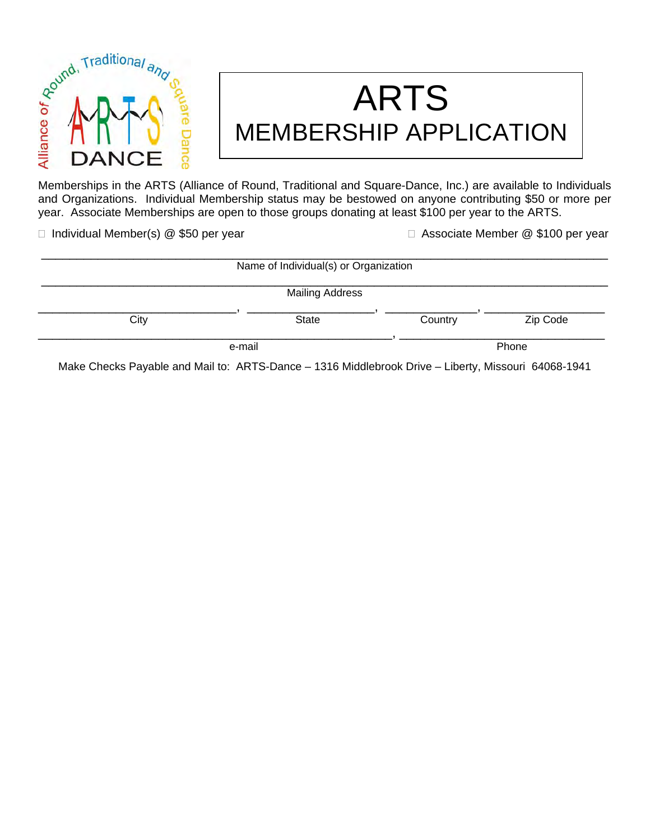

# ARTS MEMBERSHIP APPLICATION MAN S<br>
MEMBERSHIP APPLICATION<br>
Memberships in the ARTS (Alliance of Round, Traditional and Square-Dance, Inc.) are available to Individuals

and Organizations. Individual Membership status may be bestowed on anyone contributing \$50 or more per year. Associate Memberships are open to those groups donating at least \$100 per year to the ARTS.

□ Individual Member(s) @ \$50 per year Associate Member @ \$100 per year

| Name of Individual(s) or Organization |                        |         |          |  |
|---------------------------------------|------------------------|---------|----------|--|
|                                       | <b>Mailing Address</b> |         |          |  |
| City                                  | <b>State</b>           | Country | Zip Code |  |
|                                       | e-mail                 |         | Phone    |  |

Make Checks Payable and Mail to: ARTS-Dance – 1316 Middlebrook Drive – Liberty, Missouri 64068-1941